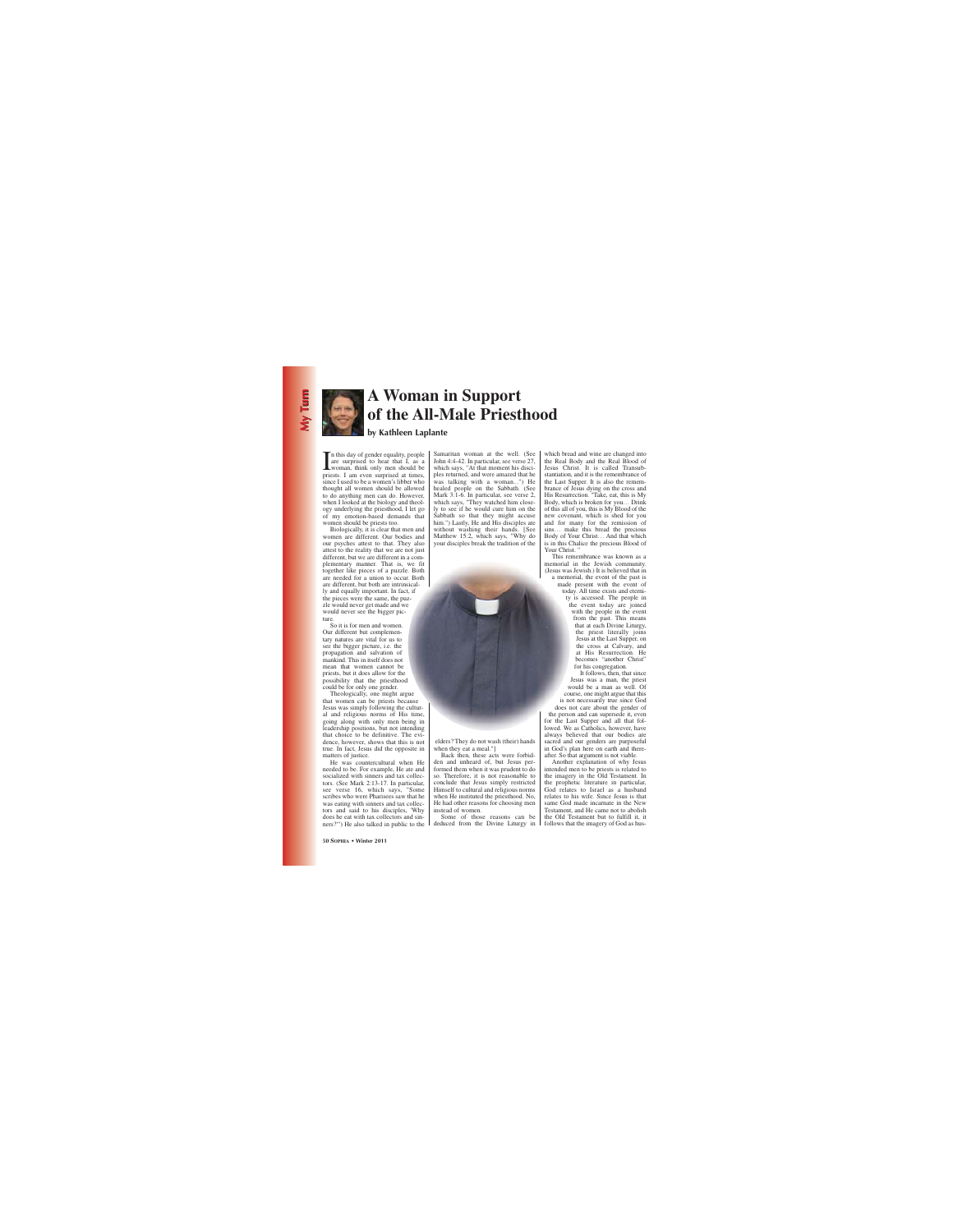

## **A Woman in Support of the All-Male Priesthood**

## **by Kathleen Laplante**

In this day of gender equality, people<br>are surprised to hear that I, as a<br>woman, think only men should be<br>priests I am even surprised at times n this day of gender equality, people are surprised to hear that I, as a priests. I am even surprised at times. since I used to be a women's libber who thought all women should be allowed to do anything men can do. However, when I looked at the biology and theology underlying the priesthood, I let go of my emotion-based demands that women should be priests too.

Biologically, it is clear that men and women are different. Our bodies and our psyches attest to that. They also attest to the reality that we are not just different, but we are different in a complementary manner. That is, we fit together like pieces of a puzzle. Both are needed for a union to occur. Both are different, but both are intrinsically and equally important. In fact, if the pieces were the same, the puzzle would never get made and we would never see the bigger picture.

So it is for men and women. Our different but complementary natures are vital for us to see the bigger picture, i.e. the propagation and salvation of mankind. This in itself does not mean that women cannot be priests, but it does allow for the possibility that the priesthood could be for only one gender.

Theologically, one might argue that women can be priests because Jesus was simply following the cultural and religious norms of His time, going along with only men being in leadership positions, but not intending that choice to be definitive. The evidence, however, shows that this is not true. In fact, Jesus did the opposite in matters of justice.

He was countercultural when He needed to be. For example, He ate and socialized with sinners and tax collectors. (See Mark 2:13-17. In particular, see verse 16, which says, "Some scribes who were Pharisees saw that he was eating with sinners and tax collectors and said to his disciples, 'Why does he eat with tax collectors and sinners?'") He also talked in public to the Samaritan woman at the well. (See John 4:4-42. In particular, see verse 27, which says, "At that moment his disciples returned, and were amazed that he was talking with a woman...") He healed people on the Sabbath. (See Mark 3:1-6. In particular, see verse 2, which says, "They watched him closely to see if he would cure him on the Sabbath so that they might accuse him.") Lastly, He and His disciples ate without washing their hands. [See Matthew 15:2, which says, "Why do your disciples break the tradition of the

elders? They do not wash (their) hands when they eat a meal."]

Back then, these acts were forbidden and unheard of, but Jesus performed them when it was prudent to do so. Therefore, it is not reasonable to conclude that Jesus simply restricted Himself to cultural and religious norms when He instituted the priesthood. No, He had other reasons for choosing men instead of women.

Some of those reasons can be deduced from the Divine Liturgy in which bread and wine are changed into the Real Body and the Real Blood of Jesus Christ. It is called Transubstantiation, and it is the remembrance of the Last Supper. It is also the remembrance of Jesus dying on the cross and His Resurrection. "Take, eat, this is My Body, which is broken for you… Drink of this all of you, this is My Blood of the new covenant, which is shed for you and for many for the remission of sins… make this bread the precious Body of Your Christ… And that which is in this Chalice the precious Blood of Your Christ. "

This remembrance was known as a memorial in the Jewish community. (Jesus was Jewish.) It is believed that in a memorial, the event of the past is made present with the event of today. All time exists and eternity is accessed. The people in the event today are joined with the people in the event from the past. This means that at each Divine Liturgy, the priest literally joins Jesus at the Last Supper, on the cross at Calvary, and at His Resurrection. He becomes "another Christ" for his congregation.

It follows, then, that since Jesus was a man, the priest would be a man as well. Of course, one might argue that this is not necessarily true since God does not care about the gender of the person and can supersede it, even for the Last Supper and all that followed. We as Catholics, however, have always believed that our bodies are sacred and our genders are purposeful in God's plan here on earth and thereafter. So that argument is not viable.

Another explanation of why Jesus intended men to be priests is related to the imagery in the Old Testament. In the prophetic literature in particular, God relates to Israel as a husband relates to his wife. Since Jesus is that same God made incarnate in the New Testament, and He came not to abolish the Old Testament but to fulfill it, it follows that the imagery of God as hus